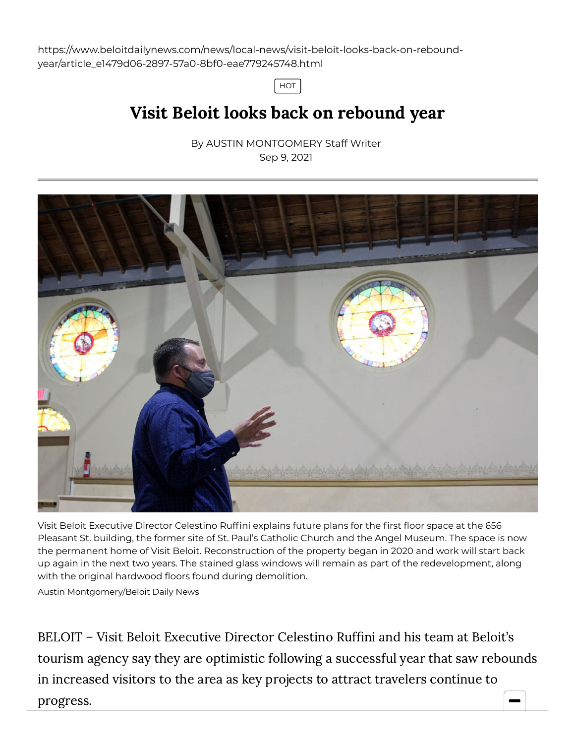https://www.beloitdailynews.com/news/local-news/visit-beloit-looks-back-on-reboundyear/article\_e1479d06-2897-57a0-8bf0-eae779245748.html

HOT

## Visit Beloit looks back on rebound year

By AUSTIN [MONTGOMERY](https://www.beloitdailynews.com/users/profile/amontgomery) Staff Writer Sep 9, 2021



Visit Beloit Executive Director Celestino Ruffini explains future plans for the first floor space at the 656 Pleasant St. building, the former site of St. Paul's Catholic Church and the Angel Museum. The space is now the permanent home of Visit Beloit. Reconstruction of the property began in 2020 and work will start back up again in the next two years. The stained glass windows will remain as part of the redevelopment, along with the original hardwood floors found during demolition.

Austin Montgomery/Beloit Daily News

BELOIT – Visit Beloit Executive Director Celestino Ruffini and his team at Beloit's tourism agency say they are optimistic following a successful year that saw rebounds in increased visitors to the area as key projects to attract travelers continue to progress.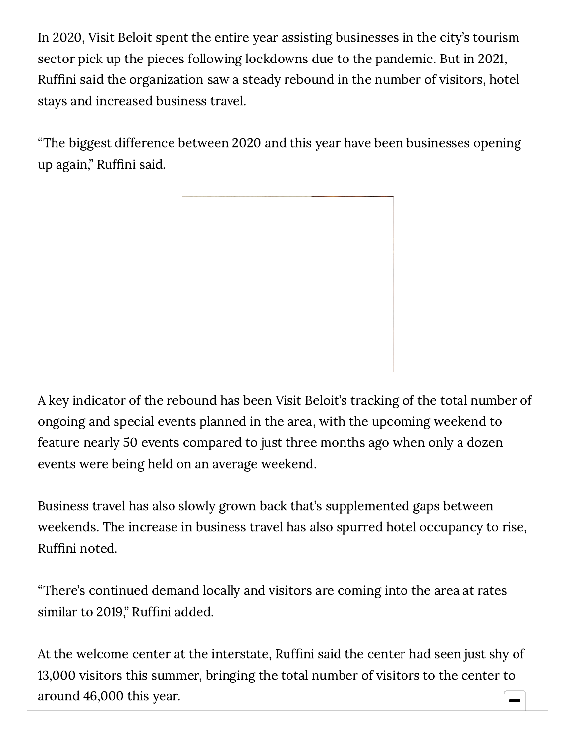In 2020, Visit Beloit spent the entire year assisting businesses in the city's tourism sector pick up the pieces following lockdowns due to the pandemic. But in 2021, Ruffini said the organization saw a steady rebound in the number of visitors, hotel stays and increased business travel.

"The biggest difference between 2020 and this year have been businesses opening up again," Ruffini said.

A key indicator of the rebound has been Visit Beloit's tracking of the total number of ongoing and special events planned in the area, with the upcoming weekend to feature nearly 50 events compared to just three months ago when only a dozen events were being held on an average weekend.

Business travel has also slowly grown back that's supplemented gaps between weekends. The increase in business travel has also spurred hotel occupancy to rise, Ruffini noted.

"There's continued demand locally and visitors are coming into the area at rates similar to 2019," Ruffini added.

At the welcome center at the interstate, Ruffini said the center had seen just shy of 13,000 visitors this summer, bringing the total number of visitors to the center to around 46,000 this year.